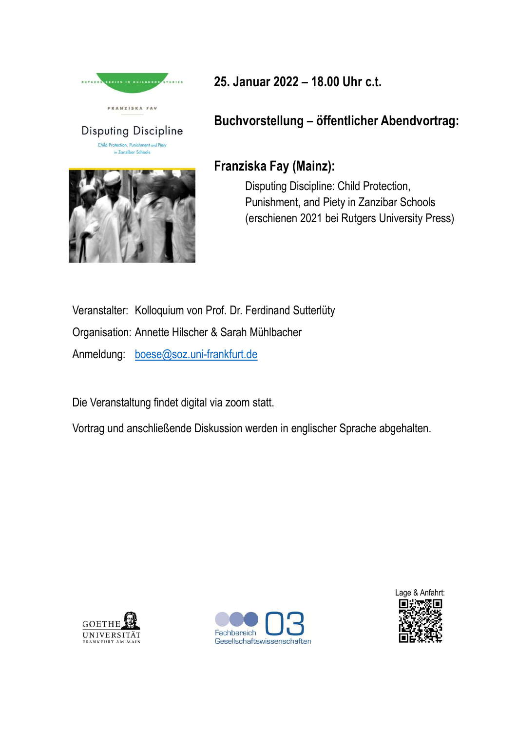



25. Januar 2022 – 18.00 Uhr c.t. 25. Januar 2022 – 18.00 Uhr c.t.<br>Buchvorstellung – öffentlicher Abendvortrag:<br>Franziska Fay (Mainz):

## Franziska Fay (Mainz):

nuar 2022 – 18.00 Uhr c.t.<br>vorstellung – öffentlicher Abendvortrag:<br>iska Fay (Mainz):<br>Disputing Discipline: Child Protection,<br>Punishment, and Piety in Zanzibar Schools<br>(erschienen 2021 bei Rutgers University Press) nuar 2022 – 18.00 Uhr c.t.<br>vorstellung – öffentlicher Abendvortrag:<br>iska Fay (Mainz):<br>Disputing Discipline: Child Protection,<br>Punishment, and Piety in Zanzibar Schools<br>(erschienen 2021 bei Rutgers University Press) nuar 2022 – 18.00 Uhr c.t.<br>vorstellung – öffentlicher Abendvortrag:<br>iska Fay (Mainz):<br>Disputing Discipline: Child Protection,<br>Punishment, and Piety in Zanzibar Schools<br>(erschienen 2021 bei Rutgers University Press)

Veranstalter: Kolloquium von Prof. Dr. Ferdinand Sutterlüty<br>
American Sutterline (Mainz):<br>
Disputing Discipline: Child Protection,<br>
Punishment, and Piety in Zanzibar Schools<br>
(erschienen 2021 bei Rutgers University Pres<br>
V Disputing Discipline<br> **Example 1989**<br>
Franziska Fay (Mainz):<br>
Disputing Discipline: Child Protection,<br>
Punishment, and Piety in Zanzibar Scho<br>
(erschienen 2021 bei Rutgers University<br>
Veranstalter: Kolloquium von Prof. Dr. Anmeldung: boese@soz.uni-frankfurt.de

Die Veranstaltung findet digital via zoom statt.

Vortrag und anschließende Diskussion werden in englischer Sprache abgehalten.